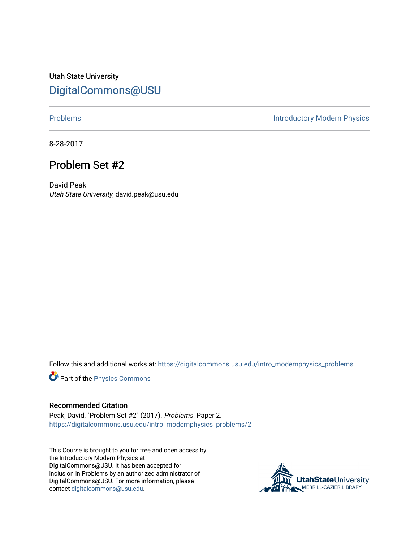Utah State University [DigitalCommons@USU](https://digitalcommons.usu.edu/)

[Problems](https://digitalcommons.usu.edu/intro_modernphysics_problems) **Introductory Modern Physics** 

8-28-2017

## Problem Set #2

David Peak Utah State University, david.peak@usu.edu

Follow this and additional works at: [https://digitalcommons.usu.edu/intro\\_modernphysics\\_problems](https://digitalcommons.usu.edu/intro_modernphysics_problems?utm_source=digitalcommons.usu.edu%2Fintro_modernphysics_problems%2F2&utm_medium=PDF&utm_campaign=PDFCoverPages) 

Part of the [Physics Commons](http://network.bepress.com/hgg/discipline/193?utm_source=digitalcommons.usu.edu%2Fintro_modernphysics_problems%2F2&utm_medium=PDF&utm_campaign=PDFCoverPages)

## Recommended Citation

Peak, David, "Problem Set #2" (2017). Problems. Paper 2. [https://digitalcommons.usu.edu/intro\\_modernphysics\\_problems/2](https://digitalcommons.usu.edu/intro_modernphysics_problems/2?utm_source=digitalcommons.usu.edu%2Fintro_modernphysics_problems%2F2&utm_medium=PDF&utm_campaign=PDFCoverPages)

This Course is brought to you for free and open access by the Introductory Modern Physics at DigitalCommons@USU. It has been accepted for inclusion in Problems by an authorized administrator of DigitalCommons@USU. For more information, please contact [digitalcommons@usu.edu](mailto:digitalcommons@usu.edu).